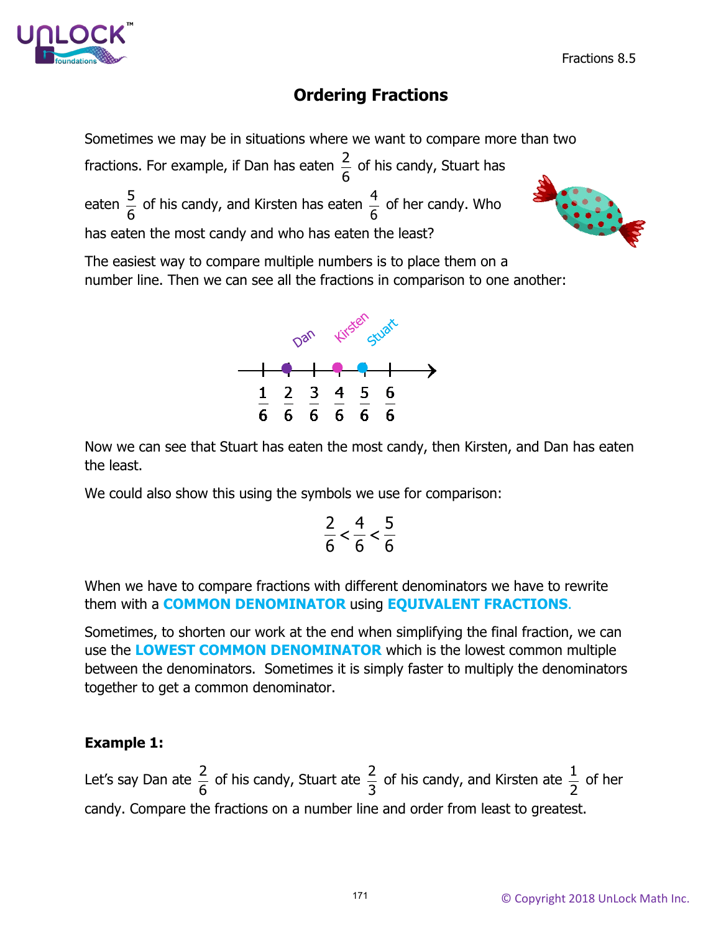

# **Ordering Fractions**

Sometimes we may be in situations where we want to compare more than two

fractions. For example, if Dan has eaten  $\frac{2}{6}$  of his candy, Stuart has eaten  $\frac{5}{6}$  of his candy, and Kirsten has eaten  $\frac{4}{6}$ of her candy. Who has eaten the most candy and who has eaten the least?



The easiest way to compare multiple numbers is to place them on a

number line. Then we can see all the fractions in comparison to one another:



Now we can see that Stuart has eaten the most candy, then Kirsten, and Dan has eaten the least.

We could also show this using the symbols we use for comparison:

$$
\frac{2}{6} < \frac{4}{6} < \frac{5}{6}
$$

When we have to compare fractions with different denominators we have to rewrite them with a **COMMON DENOMINATOR** using **EQUIVALENT FRACTIONS**.

Sometimes, to shorten our work at the end when simplifying the final fraction, we can use the **LOWEST COMMON DENOMINATOR** which is the lowest common multiple between the denominators. Sometimes it is simply faster to multiply the denominators together to get a common denominator.

## **Example 1:**

Let's say Dan ate  $\frac{2}{6}$  of his candy, Stuart ate  $\frac{2}{3}$  of his candy, and Kirsten ate  $\frac{1}{2}$ of her candy. Compare the fractions on a number line and order from least to greatest.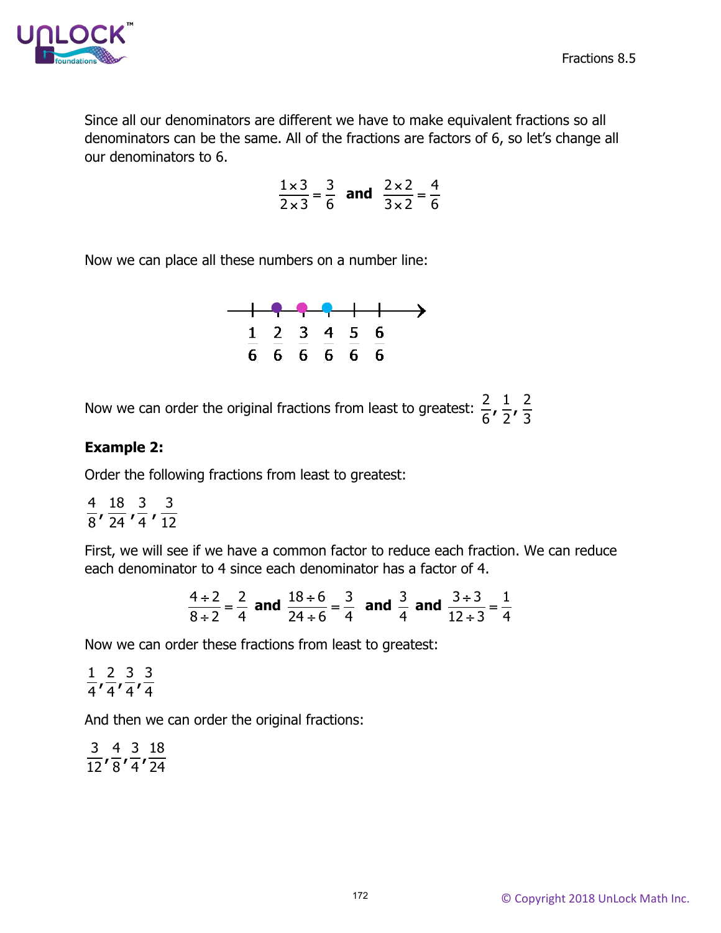

Since all our denominators are different we have to make equivalent fractions so all denominators can be the same. All of the fractions are factors of 6, so let's change all our denominators to 6.

$$
\frac{1\times3}{2\times3}=\frac{3}{6}
$$
 and 
$$
\frac{2\times2}{3\times2}=\frac{4}{6}
$$

Now we can place all these numbers on a number line:



Now we can order the original fractions from least to greatest:  $\frac{2}{6}$ ,  $\frac{1}{2}$ ,  $\frac{2}{3}$ 

#### **Example 2:**

Order the following fractions from least to greatest:

 $\frac{4}{8}$ ,  $\frac{18}{24}$ ,  $\frac{3}{4}$ ,  $\frac{3}{12}$ 

First, we will see if we have a common factor to reduce each fraction. We can reduce each denominator to 4 since each denominator has a factor of 4.

$$
\frac{4 \div 2}{8 \div 2} = \frac{2}{4}
$$
 and  $\frac{18 \div 6}{24 \div 6} = \frac{3}{4}$  and  $\frac{3}{4}$  and  $\frac{3 \div 3}{12 \div 3} = \frac{1}{4}$ 

Now we can order these fractions from least to greatest:

 $\frac{1}{4}$ ,  $\frac{2}{4}$ ,  $\frac{3}{4}$ ,  $\frac{3}{4}$ 

And then we can order the original fractions:

3 4 3 18  $\overline{12'}\overline{8'}\overline{4'}\overline{24}$